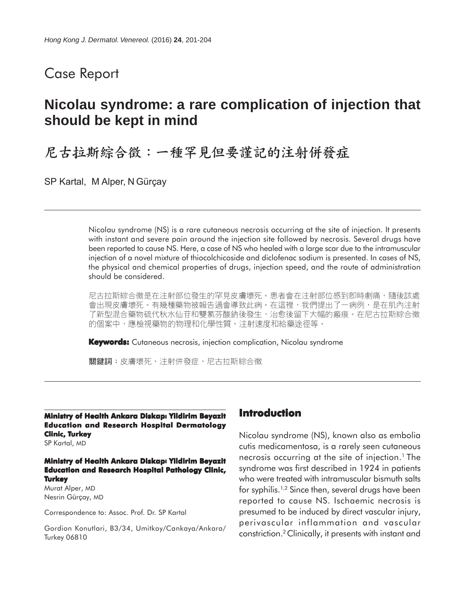## Case Report

# **Nicolau syndrome: a rare complication of injection that should be kept in mind**

# 尼古拉斯綜合徵:一種罕見但要謹記的注射併發症

SP Kartal, M Alper, N Gürçay

Nicolau syndrome (NS) is a rare cutaneous necrosis occurring at the site of injection. It presents with instant and severe pain around the injection site followed by necrosis. Several drugs have been reported to cause NS. Here, a case of NS who healed with a large scar due to the intramuscular injection of a novel mixture of thiocolchicoside and diclofenac sodium is presented. In cases of NS, the physical and chemical properties of drugs, injection speed, and the route of administration should be considered.

尼古拉斯綜合徵是在注射部位發生的罕見皮膚壞死。患者會在注射部位感到卽時劇痛,隨後該處 會出現皮膚壞死。有幾種藥物被報告過會導致此病。在這裡,我們提出了一病例,是在肌內注射 了新型混合藥物硫代秋水仙苷和雙氯芬酸鈉後發生,治愈後留下大幅的瘢痕。在尼古拉斯綜合徵 的個案中,應檢視藥物的物理和化學性質、注射速度和給藥途徑等。

**Keywords:** Cutaneous necrosis, injection complication, Nicolau syndrome

關鍵詞:皮膚壞死、注射併發症、尼古拉斯綜合徵

**Ministry of Health Ankara Diskapl Yildirim Beyazit Education and Research Hospital Dermatology Clinic, Turkey**

SP Kartal, MD

**Ministry of Health Ankara Diskapl Yildirim Beyazit Education and Research Hospital Pathology Clinic, Turkey**

Murat Alper, MD Nesrin Gürçay, MD

Correspondence to: Assoc. Prof. Dr. SP Kartal

Gordion Konutlari, B3/34, Umitkoy/Cankaya/Ankara/ Turkey 06810

#### **Introduction**

Nicolau syndrome (NS), known also as embolia cutis medicamentosa, is a rarely seen cutaneous necrosis occurring at the site of injection.<sup>1</sup> The syndrome was first described in 1924 in patients who were treated with intramuscular bismuth salts for syphilis.1,2 Since then, several drugs have been reported to cause NS. Ischaemic necrosis is presumed to be induced by direct vascular injury, perivascular inflammation and vascular constriction.2 Clinically, it presents with instant and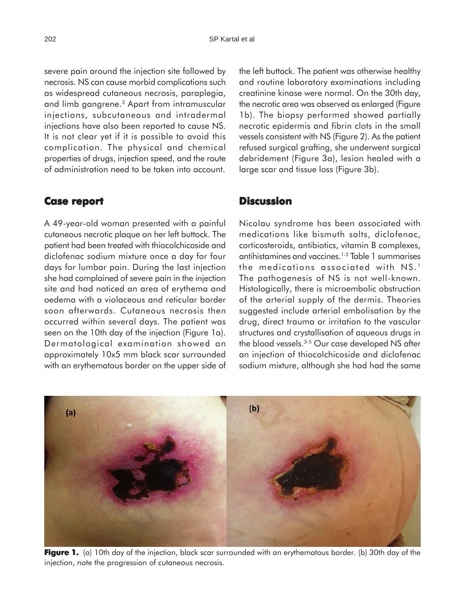severe pain around the injection site followed by necrosis. NS can cause morbid complications such as widespread cutaneous necrosis, paraplegia, and limb gangrene.3 Apart from intramuscular injections, subcutaneous and intradermal injections have also been reported to cause NS. It is not clear yet if it is possible to avoid this complication. The physical and chemical properties of drugs, injection speed, and the route of administration need to be taken into account.

#### **Case report report**

A 49-year-old woman presented with a painful cutaneous necrotic plaque on her left buttock. The patient had been treated with thiocolchicoside and diclofenac sodium mixture once a day for four days for lumbar pain. During the last injection she had complained of severe pain in the injection site and had noticed an area of erythema and oedema with a violaceous and reticular border soon afterwards. Cutaneous necrosis then occurred within several days. The patient was seen on the 10th day of the injection (Figure 1a). Dermatological examination showed an approximately 10x5 mm black scar surrounded with an erythematous border on the upper side of the left buttock. The patient was otherwise healthy and routine laboratory examinations including creatinine kinase were normal. On the 30th day, the necrotic area was observed as enlarged (Figure 1b). The biopsy performed showed partially necrotic epidermis and fibrin clots in the small vessels consistent with NS (Figure 2). As the patient refused surgical grafting, she underwent surgical debridement (Figure 3a), lesion healed with a large scar and tissue loss (Figure 3b).

### **Discussion**

Nicolau syndrome has been associated with medications like bismuth salts, diclofenac, corticosteroids, antibiotics, vitamin B complexes, antihistamines and vaccines.1-3 Table 1 summarises the medications associated with NS.<sup>1</sup> The pathogenesis of NS is not well-known. Histologically, there is microembolic obstruction of the arterial supply of the dermis. Theories suggested include arterial embolisation by the drug, direct trauma or irritation to the vascular structures and crystallisation of aqueous drugs in the blood vessels.<sup>3-5</sup> Our case developed NS after an injection of thiocolchicoside and diclofenac sodium mixture, although she had had the same



**Figure 1.** (a) 10th day of the injection, black scar surrounded with an erythematous border. (b) 30th day of the injection, note the progression of cutaneous necrosis.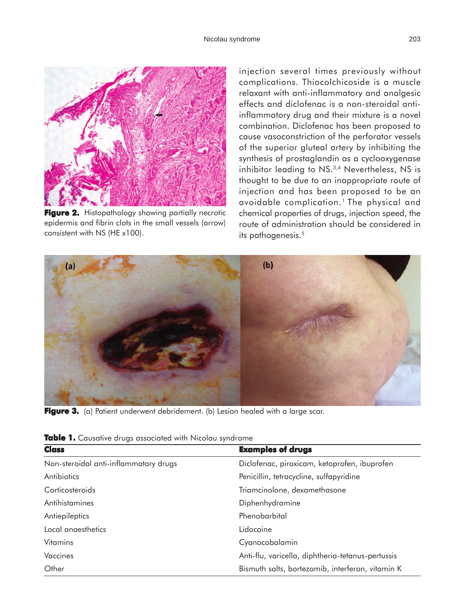

**Figure 2.** Histopathology showing partially necrotic epidermis and fibrin clots in the small vessels (arrow) consistent with NS (HE x100).

injection several times previously without complications. Thiocolchicoside is a muscle relaxant with anti-inflammatory and analgesic effects and diclofenac is a non-steroidal antiinflammatory drug and their mixture is a novel combination. Diclofenac has been proposed to cause vasoconstriction of the perforator vessels of the superior gluteal artery by inhibiting the synthesis of prostaglandin as a cyclooxygenase inhibitor leading to NS.<sup>3,4</sup> Nevertheless, NS is thought to be due to an inappropriate route of injection and has been proposed to be an avoidable complication.1 The physical and chemical properties of drugs, injection speed, the route of administration should be considered in its pathogenesis.<sup>5</sup>



Figure 3. (a) Patient underwent debridement. (b) Lesion healed with a large scar.

| <b>Class</b>                          | <b>Examples of drugs</b>                          |
|---------------------------------------|---------------------------------------------------|
| Non-steroidal anti-inflammatory drugs | Diclofenac, piroxicam, ketoprofen, ibuprofen      |
| Antibiotics                           | Penicillin, tetracycline, sulfapyridine           |
| Corticosteroids                       | Triamcinolone, dexamethasone                      |
| Antihistamines                        | Diphenhydramine                                   |
| Antiepileptics                        | Phenobarbital                                     |
| Local anaesthetics                    | Lidocaine                                         |
| <b>Vitamins</b>                       | Cyanocobalamin                                    |
| Vaccines                              | Anti-flu, varicella, diphtheria-tetanus-pertussis |
| Other                                 | Bismuth salts, bortezomib, interferon, vitamin K  |

**Table 1.** Causative drugs associated with Nicolau syndrome